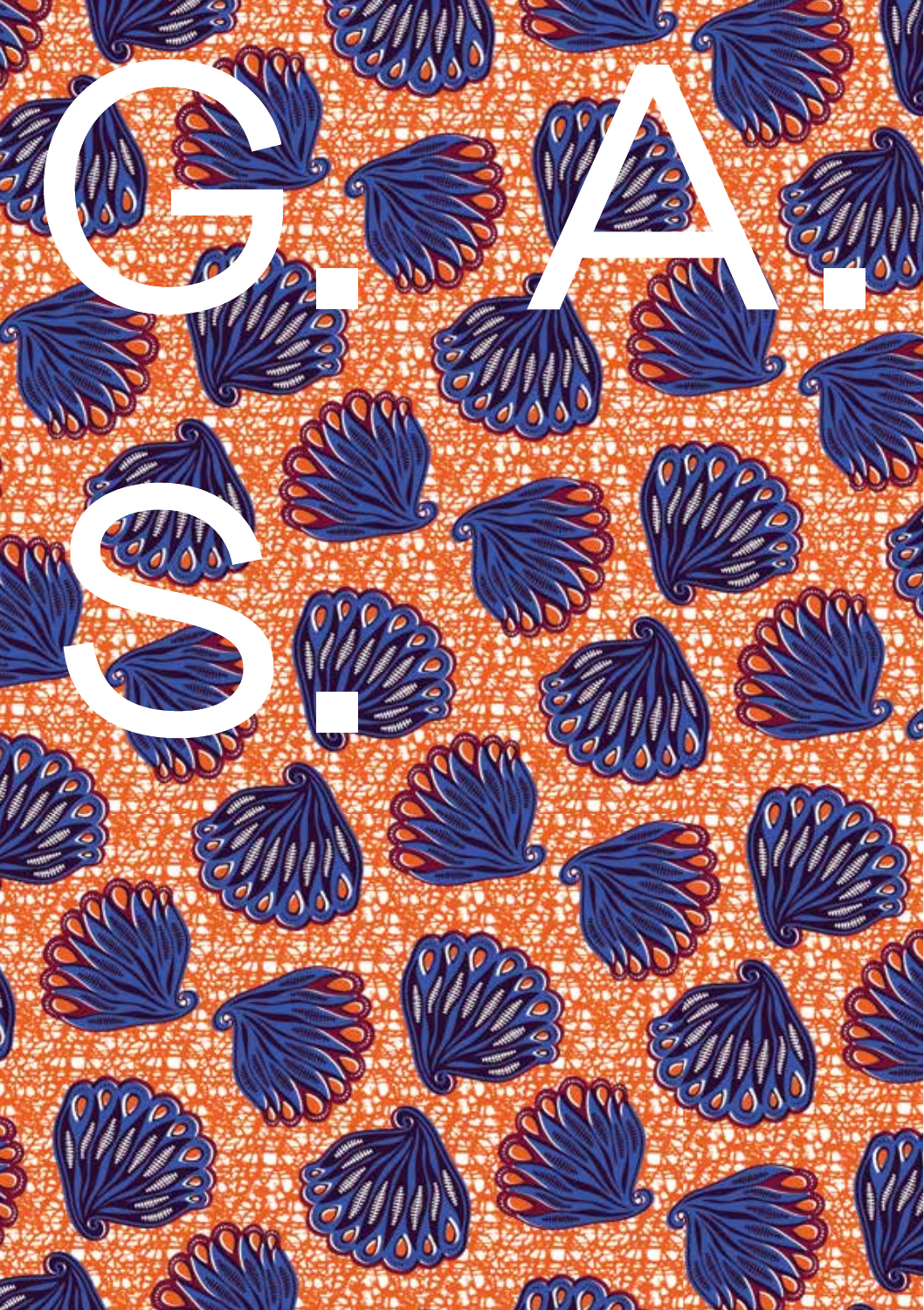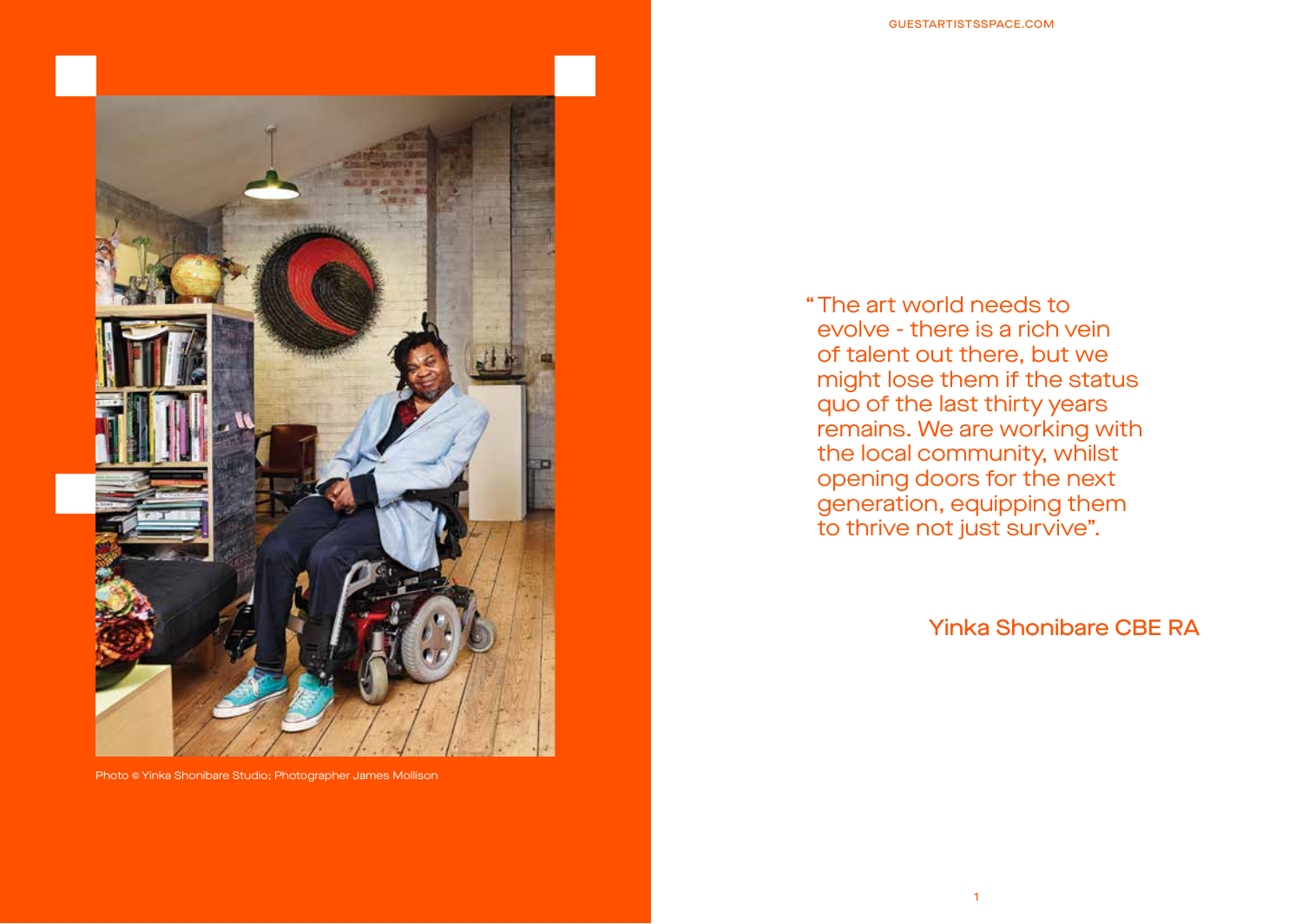

Photo © Yinka Shonibare Studio; Photographer James Mollison

The art world needs to " evolve - there is a rich vein of talent out there, but we might lose them if the status quo of the last thirty years remains. We are working with the local community, whilst opening doors for the next generation, equipping them to thrive not just survive".

### Yinka Shonibare CBE RA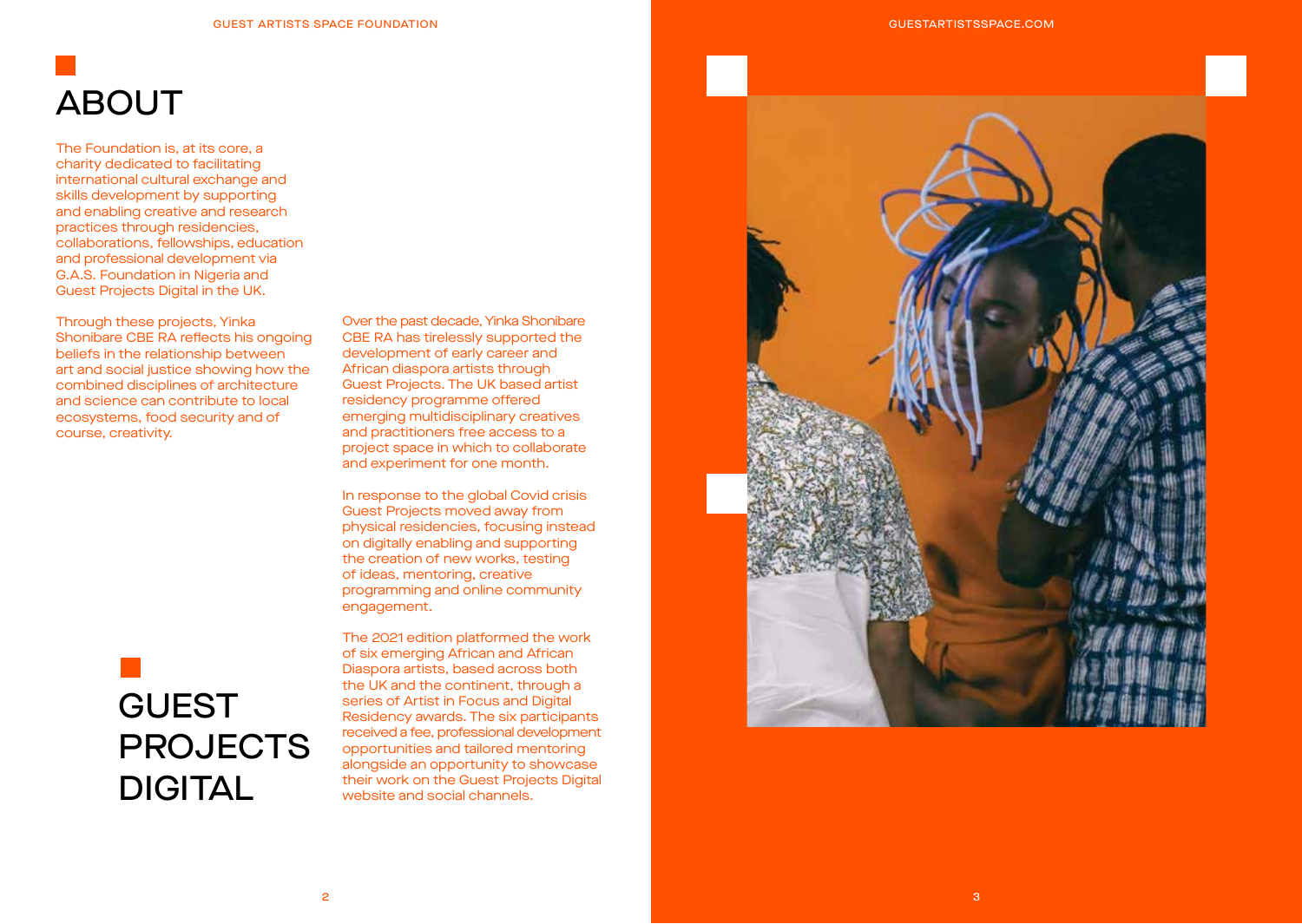# ABOUT

The Foundation is, at its core, a charity dedicated to facilitating international cultural exchange and skills development by supporting and enabling creative and research practices through residencies, collaborations, fellowships, education and professional development via G.A.S. Foundation in Nigeria and Guest Projects Digital in the UK.

Through these projects, Yinka Shonibare CBE RA reflects his ongoing beliefs in the relationship between art and social justice showing how the combined disciplines of architecture and science can contribute to local ecosystems, food security and of course, creativity.

Over the past decade, Yinka Shonibare CBE RA has tirelessly supported the development of early career and African diaspora artists through Guest Projects. The UK based artist residency programme offered emerging multidisciplinary creatives and practitioners free access to a project space in which to collaborate and experiment for one month.

In response to the global Covid crisis Guest Projects moved away from physical residencies, focusing instead on digitally enabling and supporting the creation of new works, testing of ideas, mentoring, creative programming and online community engagement.

## GUEST **PROJECTS** DIGITAL

The 2021 edition platformed the work of six emerging African and African Diaspora artists, based across both the UK and the continent, through a series of Artist in Focus and Digital Residency awards. The six participants received a fee, professional development opportunities and tailored mentoring alongside an opportunity to showcase their work on the Guest Projects Digital website and social channels.

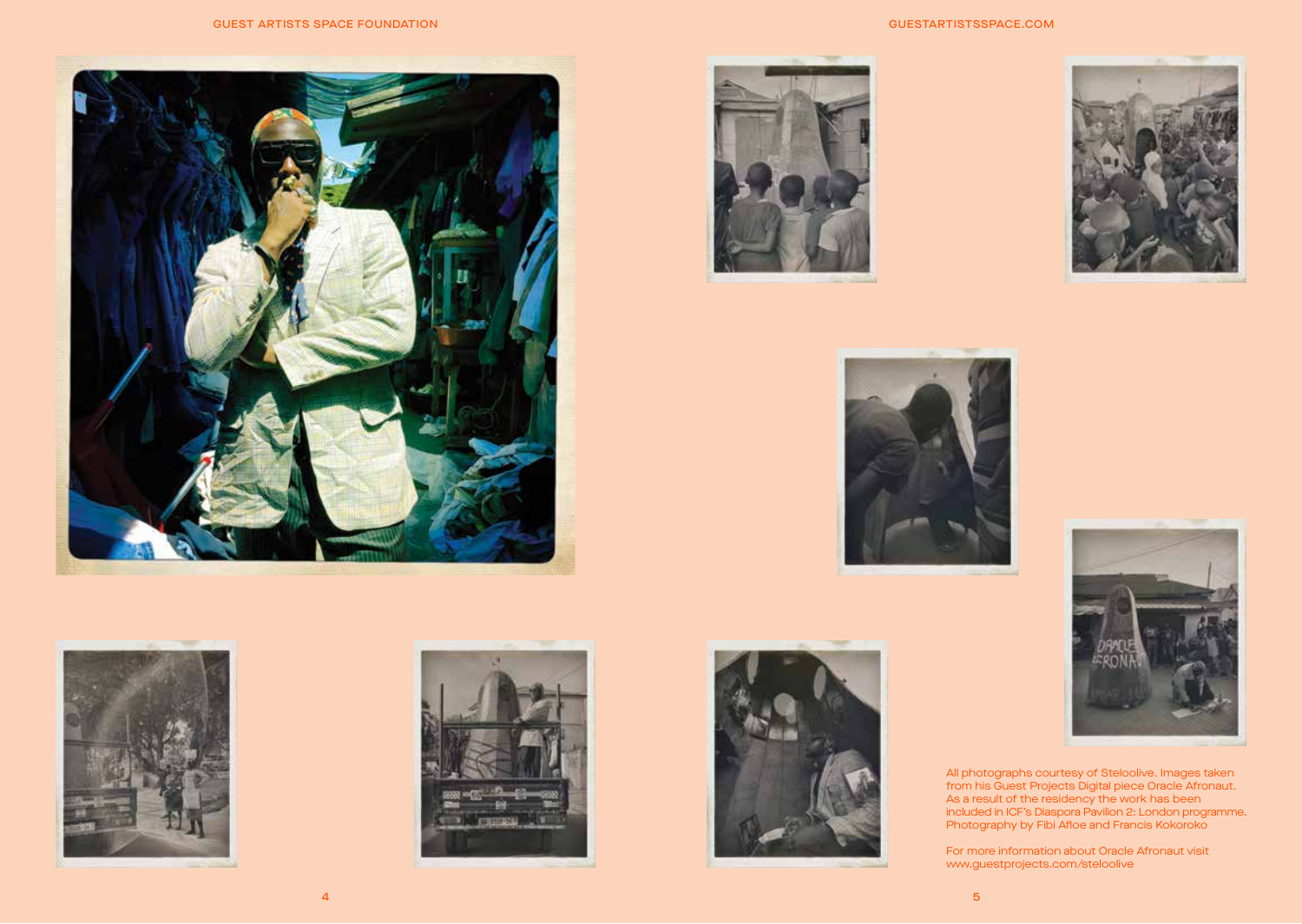







#### GUESTARTISTSSPACE.COM









All photographs courtesy of Steloolive. Images taken from his Guest Projects Digital piece Oracle Afronaut. As a result of the residency the work has been included in ICF's Diaspora Pavilion 2: London programme. Photography by Fibi Afloe and Francis Kokoroko

For more information about Oracle Afronaut visit www.guestprojects.com/steloolive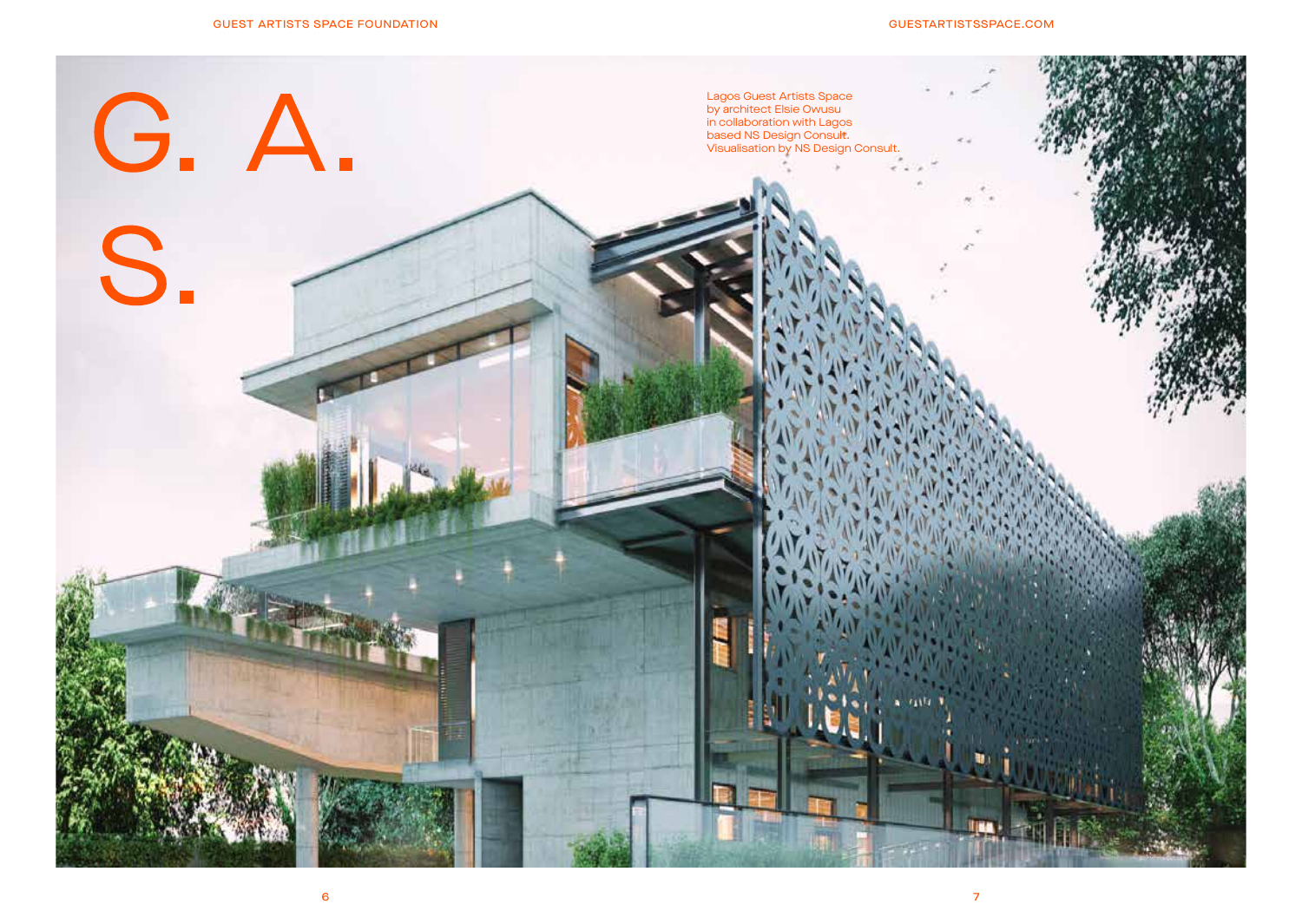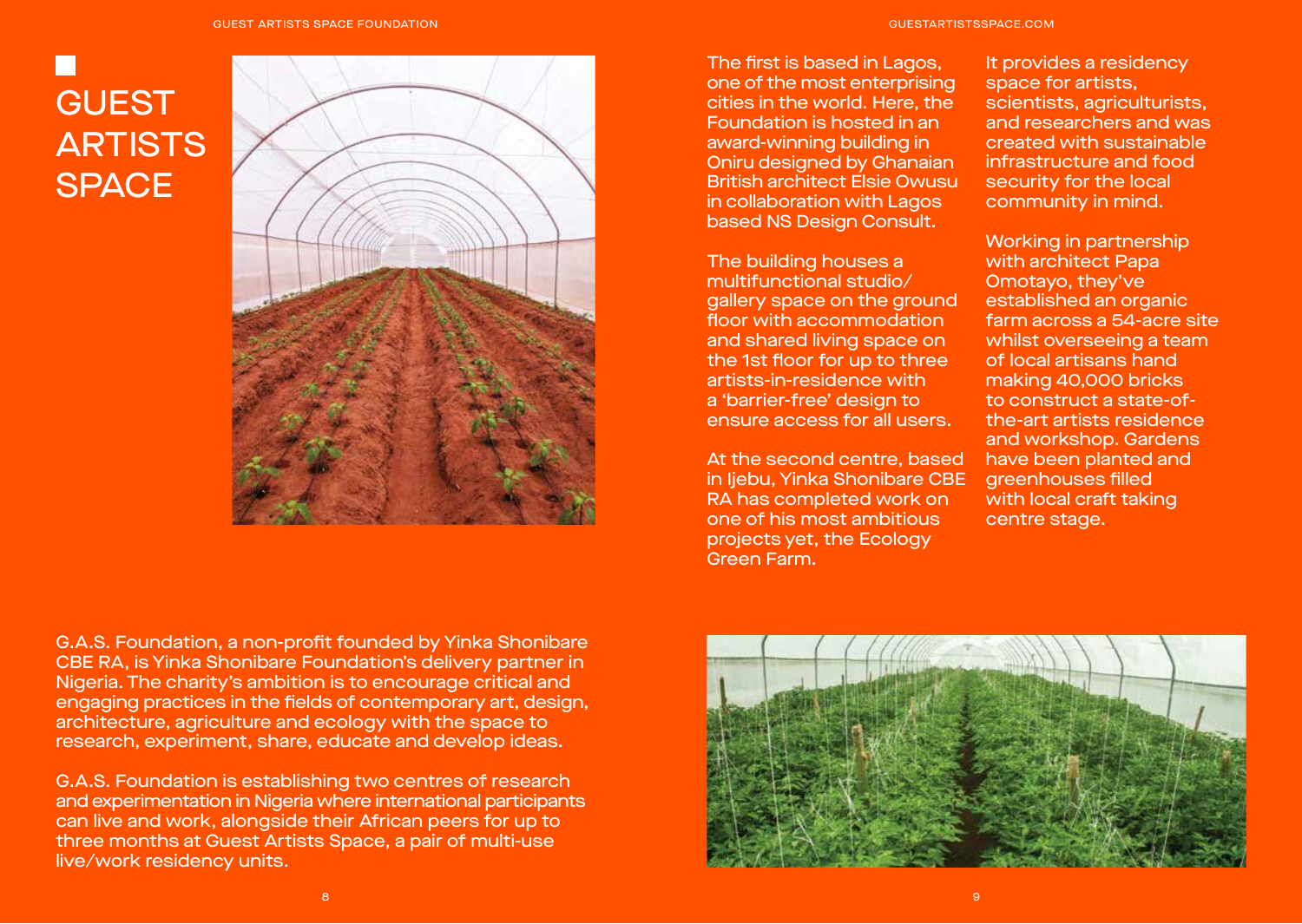## **GUEST ARTISTS SPACE**



The first is based in Lagos, one of the most enterprising cities in the world. Here, the Foundation is hosted in an award-winning building in

Oniru designed by Ghanaian British architect Elsie Owusu in collaboration with Lagos based NS Design Consult.

The building houses a multifunctional studio/ gallery space on the ground floor with accommodation and shared living space on the 1st floor for up to three artists-in-residence with a 'barrier-free' design to ensure access for all users.

At the second centre, based in Ijebu, Yinka Shonibare CBE RA has completed work on one of his most ambitious projects yet, the Ecology Green Farm.

It provides a residency space for artists, scientists, agriculturists, and researchers and was created with sustainable infrastructure and food security for the local community in mind.

Working in partnership with architect Papa Omotayo, they've established an organic farm across a 54-acre site whilst overseeing a team of local artisans hand making 40,000 bricks to construct a state-ofthe-art artists residence and workshop. Gardens have been planted and greenhouses filled with local craft taking centre stage.

G.A.S. Foundation, a non-profit founded by Yinka Shonibare CBE RA, is Yinka Shonibare Foundation's delivery partner in Nigeria. The charity's ambition is to encourage critical and engaging practices in the fields of contemporary art, design, architecture, agriculture and ecology with the space to research, experiment, share, educate and develop ideas.

G.A.S. Foundation is establishing two centres of research and experimentation in Nigeria where international participants can live and work, alongside their African peers for up to three months at Guest Artists Space, a pair of multi-use live/work residency units.

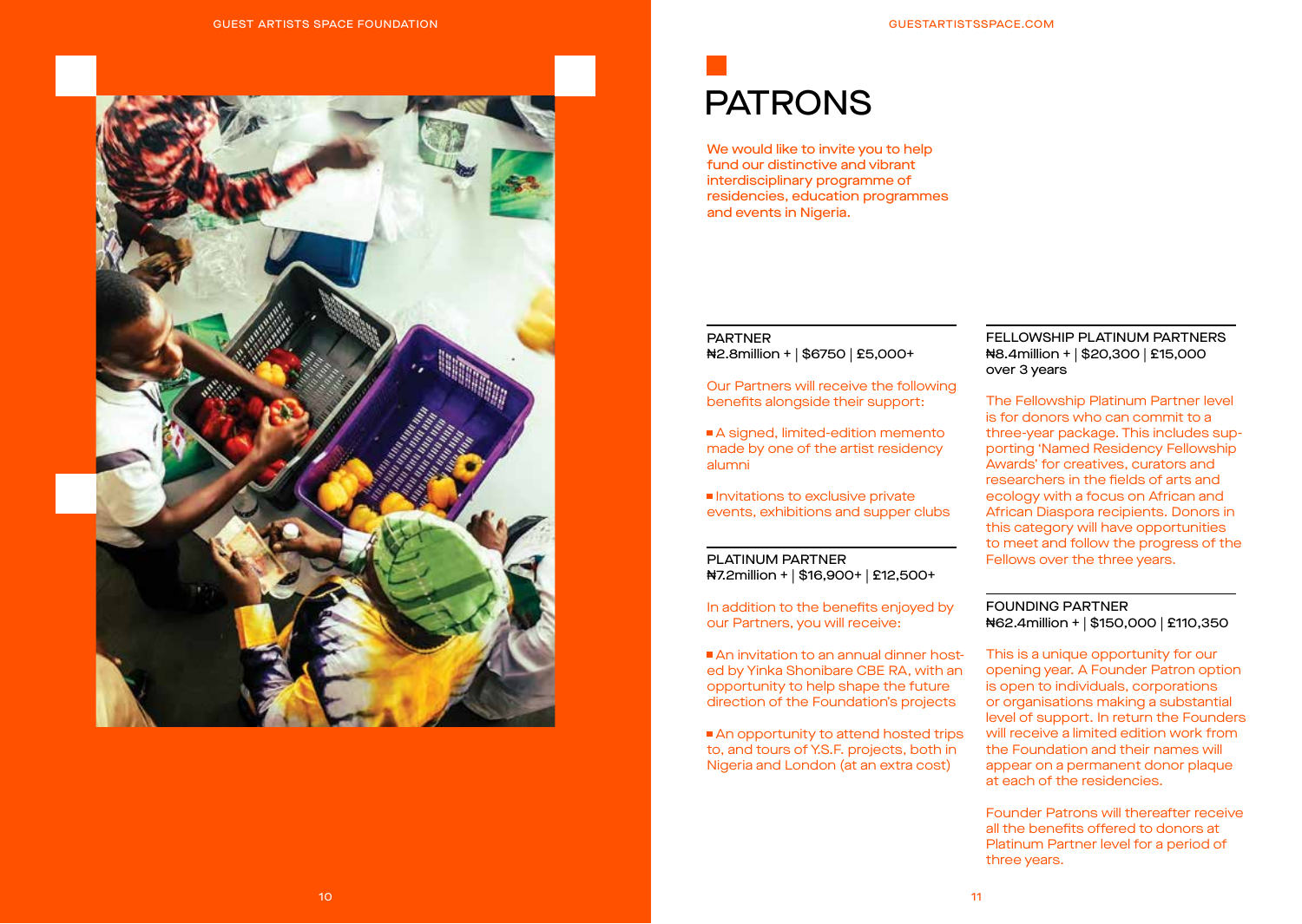

### PATRONS

We would like to invite you to help fund our distinctive and vibrant interdisciplinary programme of residencies, education programmes and events in Nigeria.

#### PARTNER ₦2.8million + | \$6750 | £5,000+

Our Partners will receive the following benefits alongside their support:

A signed, limited-edition memento made by one of the artist residency alumni

Invitations to exclusive private events, exhibitions and supper clubs

#### PLATINUM PARTNER ₦7.2million + | \$16,900+ | £12,500+

In addition to the benefits enjoyed by our Partners, you will receive:

An invitation to an annual dinner hosted by Yinka Shonibare CBE RA, with an opportunity to help shape the future direction of the Foundation's projects

An opportunity to attend hosted trips to, and tours of Y.S.F. projects, both in Nigeria and London (at an extra cost)

#### FELLOWSHIP PLATINUM PARTNERS ₦8.4million + | \$20,300 | £15,000 over 3 years

The Fellowship Platinum Partner level is for donors who can commit to a three-year package. This includes supporting 'Named Residency Fellowship Awards' for creatives, curators and researchers in the fields of arts and ecology with a focus on African and African Diaspora recipients. Donors in this category will have opportunities to meet and follow the progress of the Fellows over the three years.

#### FOUNDING PARTNER ₦62.4million + | \$150,000 | £110,350

This is a unique opportunity for our opening year. A Founder Patron option is open to individuals, corporations or organisations making a substantial level of support. In return the Founders will receive a limited edition work from the Foundation and their names will appear on a permanent donor plaque at each of the residencies.

Founder Patrons will thereafter receive all the benefits offered to donors at Platinum Partner level for a period of three years.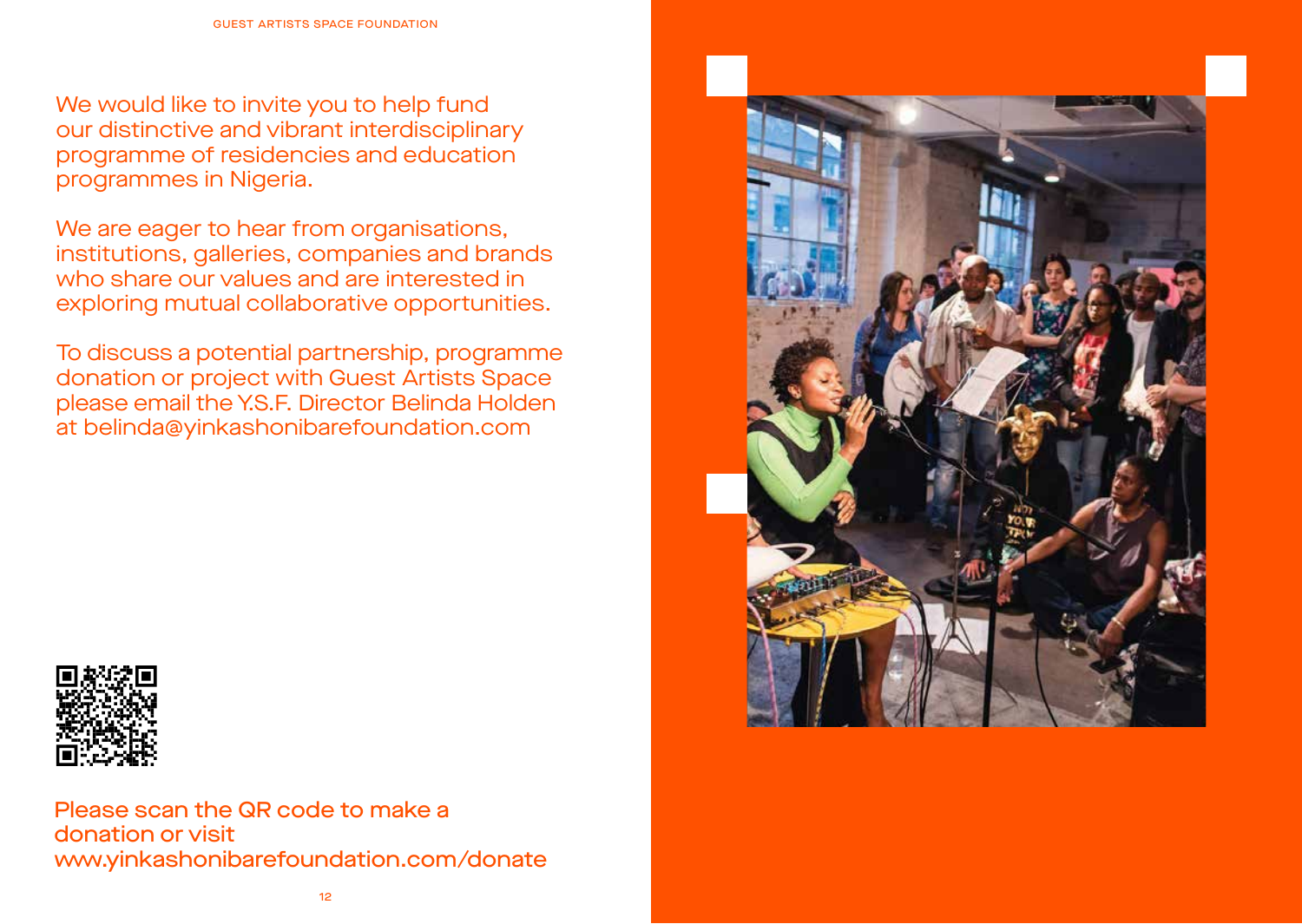We would like to invite you to help fund our distinctive and vibrant interdisciplinary programme of residencies and education programmes in Nigeria.

We are eager to hear from organisations, institutions, galleries, companies and brands who share our values and are interested in exploring mutual collaborative opportunities.

To discuss a potential partnership, programme donation or project with Guest Artists Space please email the Y.S.F. Director Belinda Holden at belinda@yinkashonibarefoundation.com



Please scan the QR code to make a donation or visit www.yinkashonibarefoundation.com/donate